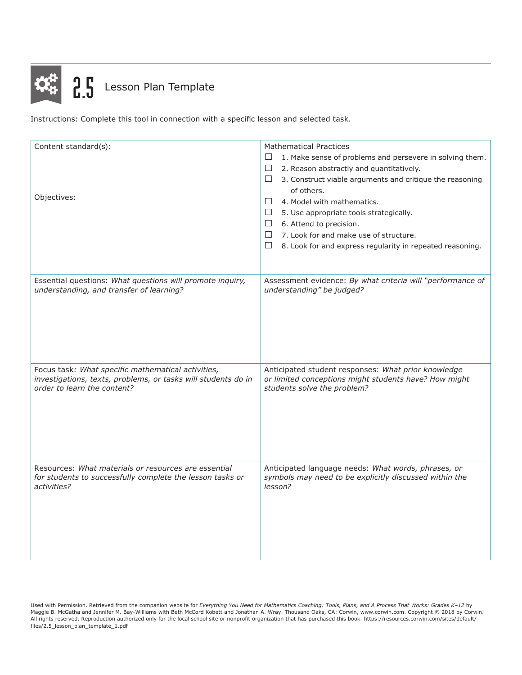

Instructions: Complete this tool in connection with a specific lesson and selected task.

| Content standard(s):<br>Objectives:                           | <b>Mathematical Practices</b><br>$\Box$<br>1. Make sense of problems and persevere in solving them.<br>$\Box$<br>2. Reason abstractly and quantitatively.<br>□<br>3. Construct viable arguments and critique the reasoning<br>of others.<br>4. Model with mathematics.<br>$\Box$<br>$\Box$<br>5. Use appropriate tools strategically.<br>$\Box$<br>6. Attend to precision.<br>$\Box$<br>7. Look for and make use of structure.<br>$\Box$<br>8. Look for and express regularity in repeated reasoning. |
|---------------------------------------------------------------|-------------------------------------------------------------------------------------------------------------------------------------------------------------------------------------------------------------------------------------------------------------------------------------------------------------------------------------------------------------------------------------------------------------------------------------------------------------------------------------------------------|
| Essential questions: What questions will promote inquiry,     | Assessment evidence: By what criteria will "performance of                                                                                                                                                                                                                                                                                                                                                                                                                                            |
| understanding, and transfer of learning?                      | understanding" be judged?                                                                                                                                                                                                                                                                                                                                                                                                                                                                             |
| Focus task: What specific mathematical activities,            | Anticipated student responses: What prior knowledge                                                                                                                                                                                                                                                                                                                                                                                                                                                   |
| investigations, texts, problems, or tasks will students do in | or limited conceptions might students have? How might                                                                                                                                                                                                                                                                                                                                                                                                                                                 |
| order to learn the content?                                   | students solve the problem?                                                                                                                                                                                                                                                                                                                                                                                                                                                                           |
| Resources: What materials or resources are essential          | Anticipated language needs: What words, phrases, or                                                                                                                                                                                                                                                                                                                                                                                                                                                   |
| for students to successfully complete the lesson tasks or     | symbols may need to be explicitly discussed within the                                                                                                                                                                                                                                                                                                                                                                                                                                                |
| activities?                                                   | lesson?                                                                                                                                                                                                                                                                                                                                                                                                                                                                                               |

Used with Permission. Retrieved from the companion website for *Everything You Need for Mathematics Coaching: Tools, Plans, and A Process That Works: Grades K–12* by Maggie B. McGatha and Jennifer M. Bay-Williams with Beth McCord Kobett and Jonathan A. Wray. Thousand Oaks, CA: Corwin, www.corwin.com. Copyright © 2018 by Corwin. All rights reserved. Reproduction authorized only for the local school site or nonprofit organization that has purchased this book. https://resources.corwin.com/sites/default/ files/2.5\_lesson\_plan\_template\_1.pdf